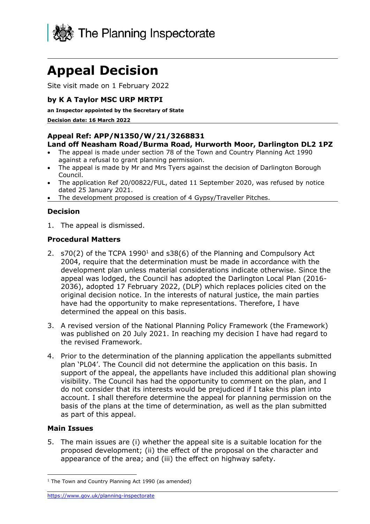

# **Appeal Decision**

Site visit made on 1 February 2022

# **by K A Taylor MSC URP MRTPI**

#### **an Inspector appointed by the Secretary of State**

**Decision date: 16 March 2022**

#### **Appeal Ref: APP/N1350/W/21/3268831**

#### **Land off Neasham Road/Burma Road, Hurworth Moor, Darlington DL2 1PZ**

- The appeal is made under section 78 of the Town and Country Planning Act 1990 against a refusal to grant planning permission.
- The appeal is made by Mr and Mrs Tyers against the decision of Darlington Borough Council.
- The application Ref 20/00822/FUL, dated 11 September 2020, was refused by notice dated 25 January 2021.
- The development proposed is creation of 4 Gypsy/Traveller Pitches.

### **Decision**

1. The appeal is dismissed.

#### **Procedural Matters**

- 2. s70(2) of the TCPA 1990<sup>1</sup> and s38(6) of the Planning and Compulsory Act 2004, require that the determination must be made in accordance with the development plan unless material considerations indicate otherwise. Since the appeal was lodged, the Council has adopted the Darlington Local Plan (2016- 2036), adopted 17 February 2022, (DLP) which replaces policies cited on the original decision notice. In the interests of natural justice, the main parties have had the opportunity to make representations. Therefore, I have determined the appeal on this basis.
- 3. A revised version of the National Planning Policy Framework (the Framework) was published on 20 July 2021. In reaching my decision I have had regard to the revised Framework.
- 4. Prior to the determination of the planning application the appellants submitted plan 'PL04'. The Council did not determine the application on this basis. In support of the appeal, the appellants have included this additional plan showing visibility. The Council has had the opportunity to comment on the plan, and I do not consider that its interests would be prejudiced if I take this plan into account. I shall therefore determine the appeal for planning permission on the basis of the plans at the time of determination, as well as the plan submitted as part of this appeal.

#### **Main Issues**

5. The main issues are (i) whether the appeal site is a suitable location for the proposed development; (ii) the effect of the proposal on the character and appearance of the area; and (iii) the effect on highway safety.

<https://www.gov.uk/planning-inspectorate>

 $1$  The Town and Country Planning Act 1990 (as amended)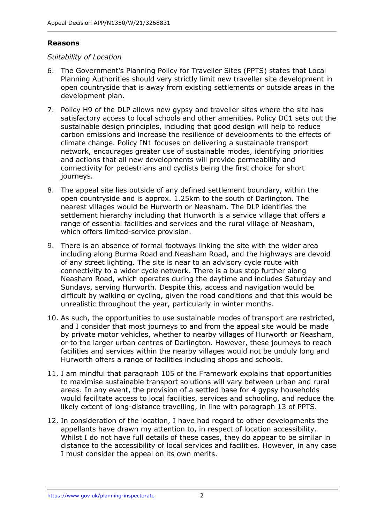#### **Reasons**

#### *Suitability of Location*

- 6. The Government's Planning Policy for Traveller Sites (PPTS) states that Local Planning Authorities should very strictly limit new traveller site development in open countryside that is away from existing settlements or outside areas in the development plan.
- 7. Policy H9 of the DLP allows new gypsy and traveller sites where the site has satisfactory access to local schools and other amenities. Policy DC1 sets out the sustainable design principles, including that good design will help to reduce carbon emissions and increase the resilience of developments to the effects of climate change. Policy IN1 focuses on delivering a sustainable transport network, encourages greater use of sustainable modes, identifying priorities and actions that all new developments will provide permeability and connectivity for pedestrians and cyclists being the first choice for short journeys.
- 8. The appeal site lies outside of any defined settlement boundary, within the open countryside and is approx. 1.25km to the south of Darlington. The nearest villages would be Hurworth or Neasham. The DLP identifies the settlement hierarchy including that Hurworth is a service village that offers a range of essential facilities and services and the rural village of Neasham, which offers limited-service provision.
- 9. There is an absence of formal footways linking the site with the wider area including along Burma Road and Neasham Road, and the highways are devoid of any street lighting. The site is near to an advisory cycle route with connectivity to a wider cycle network. There is a bus stop further along Neasham Road, which operates during the daytime and includes Saturday and Sundays, serving Hurworth. Despite this, access and navigation would be difficult by walking or cycling, given the road conditions and that this would be unrealistic throughout the year, particularly in winter months.
- 10. As such, the opportunities to use sustainable modes of transport are restricted, and I consider that most journeys to and from the appeal site would be made by private motor vehicles, whether to nearby villages of Hurworth or Neasham, or to the larger urban centres of Darlington. However, these journeys to reach facilities and services within the nearby villages would not be unduly long and Hurworth offers a range of facilities including shops and schools.
- 11. I am mindful that paragraph 105 of the Framework explains that opportunities to maximise sustainable transport solutions will vary between urban and rural areas. In any event, the provision of a settled base for 4 gypsy households would facilitate access to local facilities, services and schooling, and reduce the likely extent of long-distance travelling, in line with paragraph 13 of PPTS.
- 12. In consideration of the location, I have had regard to other developments the appellants have drawn my attention to, in respect of location accessibility. Whilst I do not have full details of these cases, they do appear to be similar in distance to the accessibility of local services and facilities. However, in any case I must consider the appeal on its own merits.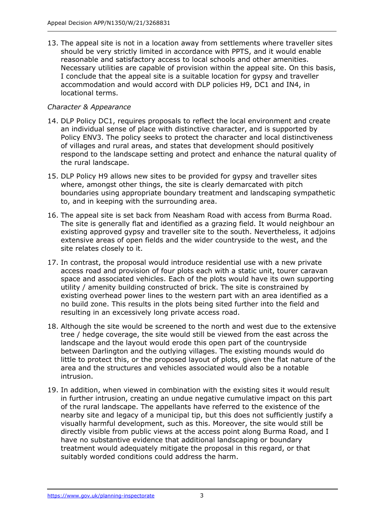13. The appeal site is not in a location away from settlements where traveller sites should be very strictly limited in accordance with PPTS, and it would enable reasonable and satisfactory access to local schools and other amenities. Necessary utilities are capable of provision within the appeal site. On this basis, I conclude that the appeal site is a suitable location for gypsy and traveller accommodation and would accord with DLP policies H9, DC1 and IN4, in locational terms.

## *Character & Appearance*

- 14. DLP Policy DC1, requires proposals to reflect the local environment and create an individual sense of place with distinctive character, and is supported by Policy ENV3. The policy seeks to protect the character and local distinctiveness of villages and rural areas, and states that development should positively respond to the landscape setting and protect and enhance the natural quality of the rural landscape.
- 15. DLP Policy H9 allows new sites to be provided for gypsy and traveller sites where, amongst other things, the site is clearly demarcated with pitch boundaries using appropriate boundary treatment and landscaping sympathetic to, and in keeping with the surrounding area.
- 16. The appeal site is set back from Neasham Road with access from Burma Road. The site is generally flat and identified as a grazing field. It would neighbour an existing approved gypsy and traveller site to the south. Nevertheless, it adjoins extensive areas of open fields and the wider countryside to the west, and the site relates closely to it.
- 17. In contrast, the proposal would introduce residential use with a new private access road and provision of four plots each with a static unit, tourer caravan space and associated vehicles. Each of the plots would have its own supporting utility / amenity building constructed of brick. The site is constrained by existing overhead power lines to the western part with an area identified as a no build zone. This results in the plots being sited further into the field and resulting in an excessively long private access road.
- 18. Although the site would be screened to the north and west due to the extensive tree / hedge coverage, the site would still be viewed from the east across the landscape and the layout would erode this open part of the countryside between Darlington and the outlying villages. The existing mounds would do little to protect this, or the proposed layout of plots, given the flat nature of the area and the structures and vehicles associated would also be a notable intrusion.
- 19. In addition, when viewed in combination with the existing sites it would result in further intrusion, creating an undue negative cumulative impact on this part of the rural landscape. The appellants have referred to the existence of the nearby site and legacy of a municipal tip, but this does not sufficiently justify a visually harmful development, such as this. Moreover, the site would still be directly visible from public views at the access point along Burma Road, and I have no substantive evidence that additional landscaping or boundary treatment would adequately mitigate the proposal in this regard, or that suitably worded conditions could address the harm.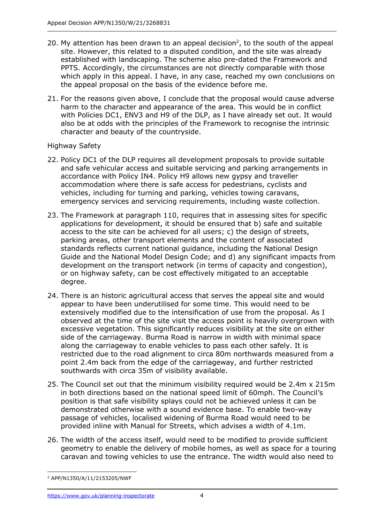- 20. My attention has been drawn to an appeal decision<sup>2</sup>, to the south of the appeal site. However, this related to a disputed condition, and the site was already established with landscaping. The scheme also pre-dated the Framework and PPTS. Accordingly, the circumstances are not directly comparable with those which apply in this appeal. I have, in any case, reached my own conclusions on the appeal proposal on the basis of the evidence before me.
- 21. For the reasons given above, I conclude that the proposal would cause adverse harm to the character and appearance of the area. This would be in conflict with Policies DC1, ENV3 and H9 of the DLP, as I have already set out. It would also be at odds with the principles of the Framework to recognise the intrinsic character and beauty of the countryside.

### Highway Safety

- 22. Policy DC1 of the DLP requires all development proposals to provide suitable and safe vehicular access and suitable servicing and parking arrangements in accordance with Policy IN4. Policy H9 allows new gypsy and traveller accommodation where there is safe access for pedestrians, cyclists and vehicles, including for turning and parking, vehicles towing caravans, emergency services and servicing requirements, including waste collection.
- 23. The Framework at paragraph 110, requires that in assessing sites for specific applications for development, it should be ensured that b) safe and suitable access to the site can be achieved for all users; c) the design of streets, parking areas, other transport elements and the content of associated standards reflects current national guidance, including the National Design Guide and the National Model Design Code; and d) any significant impacts from development on the transport network (in terms of capacity and congestion), or on highway safety, can be cost effectively mitigated to an acceptable degree.
- 24. There is an historic agricultural access that serves the appeal site and would appear to have been underutilised for some time. This would need to be extensively modified due to the intensification of use from the proposal. As I observed at the time of the site visit the access point is heavily overgrown with excessive vegetation. This significantly reduces visibility at the site on either side of the carriageway. Burma Road is narrow in width with minimal space along the carriageway to enable vehicles to pass each other safely. It is restricted due to the road alignment to circa 80m northwards measured from a point 2.4m back from the edge of the carriageway, and further restricted southwards with circa 35m of visibility available.
- 25. The Council set out that the minimum visibility required would be 2.4m x 215m in both directions based on the national speed limit of 60mph. The Council's position is that safe visibility splays could not be achieved unless it can be demonstrated otherwise with a sound evidence base. To enable two-way passage of vehicles, localised widening of Burma Road would need to be provided inline with Manual for Streets, which advises a width of 4.1m.
- 26. The width of the access itself, would need to be modified to provide sufficient geometry to enable the delivery of mobile homes, as well as space for a touring caravan and towing vehicles to use the entrance. The width would also need to

<sup>2</sup> APP/N1350/A/11/2153205/NWF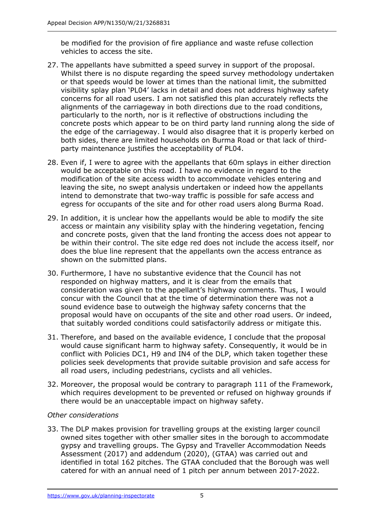be modified for the provision of fire appliance and waste refuse collection vehicles to access the site.

- 27. The appellants have submitted a speed survey in support of the proposal. Whilst there is no dispute regarding the speed survey methodology undertaken or that speeds would be lower at times than the national limit, the submitted visibility splay plan 'PL04' lacks in detail and does not address highway safety concerns for all road users. I am not satisfied this plan accurately reflects the alignments of the carriageway in both directions due to the road conditions, particularly to the north, nor is it reflective of obstructions including the concrete posts which appear to be on third party land running along the side of the edge of the carriageway. I would also disagree that it is properly kerbed on both sides, there are limited households on Burma Road or that lack of thirdparty maintenance justifies the acceptability of PL04.
- 28. Even if, I were to agree with the appellants that 60m splays in either direction would be acceptable on this road. I have no evidence in regard to the modification of the site access width to accommodate vehicles entering and leaving the site, no swept analysis undertaken or indeed how the appellants intend to demonstrate that two-way traffic is possible for safe access and egress for occupants of the site and for other road users along Burma Road.
- 29. In addition, it is unclear how the appellants would be able to modify the site access or maintain any visibility splay with the hindering vegetation, fencing and concrete posts, given that the land fronting the access does not appear to be within their control. The site edge red does not include the access itself, nor does the blue line represent that the appellants own the access entrance as shown on the submitted plans.
- 30. Furthermore, I have no substantive evidence that the Council has not responded on highway matters, and it is clear from the emails that consideration was given to the appellant's highway comments. Thus, I would concur with the Council that at the time of determination there was not a sound evidence base to outweigh the highway safety concerns that the proposal would have on occupants of the site and other road users. Or indeed, that suitably worded conditions could satisfactorily address or mitigate this.
- 31. Therefore, and based on the available evidence, I conclude that the proposal would cause significant harm to highway safety. Consequently, it would be in conflict with Policies DC1, H9 and IN4 of the DLP, which taken together these policies seek developments that provide suitable provision and safe access for all road users, including pedestrians, cyclists and all vehicles.
- 32. Moreover, the proposal would be contrary to paragraph 111 of the Framework, which requires development to be prevented or refused on highway grounds if there would be an unacceptable impact on highway safety.

### *Other considerations*

33. The DLP makes provision for travelling groups at the existing larger council owned sites together with other smaller sites in the borough to accommodate gypsy and travelling groups. The Gypsy and Traveller Accommodation Needs Assessment (2017) and addendum (2020), (GTAA) was carried out and identified in total 162 pitches. The GTAA concluded that the Borough was well catered for with an annual need of 1 pitch per annum between 2017-2022.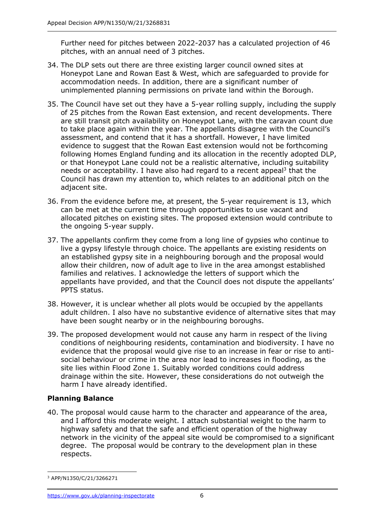Further need for pitches between 2022-2037 has a calculated projection of 46 pitches, with an annual need of 3 pitches.

- 34. The DLP sets out there are three existing larger council owned sites at Honeypot Lane and Rowan East & West, which are safeguarded to provide for accommodation needs. In addition, there are a significant number of unimplemented planning permissions on private land within the Borough.
- 35. The Council have set out they have a 5-year rolling supply, including the supply of 25 pitches from the Rowan East extension, and recent developments. There are still transit pitch availability on Honeypot Lane, with the caravan count due to take place again within the year. The appellants disagree with the Council's assessment, and contend that it has a shortfall. However, I have limited evidence to suggest that the Rowan East extension would not be forthcoming following Homes England funding and its allocation in the recently adopted DLP, or that Honeypot Lane could not be a realistic alternative, including suitability needs or acceptability. I have also had regard to a recent appeal<sup>3</sup> that the Council has drawn my attention to, which relates to an additional pitch on the adjacent site.
- 36. From the evidence before me, at present, the 5-year requirement is 13, which can be met at the current time through opportunities to use vacant and allocated pitches on existing sites. The proposed extension would contribute to the ongoing 5-year supply.
- 37. The appellants confirm they come from a long line of gypsies who continue to live a gypsy lifestyle through choice. The appellants are existing residents on an established gypsy site in a neighbouring borough and the proposal would allow their children, now of adult age to live in the area amongst established families and relatives. I acknowledge the letters of support which the appellants have provided, and that the Council does not dispute the appellants' PPTS status.
- 38. However, it is unclear whether all plots would be occupied by the appellants adult children. I also have no substantive evidence of alternative sites that may have been sought nearby or in the neighbouring boroughs.
- 39. The proposed development would not cause any harm in respect of the living conditions of neighbouring residents, contamination and biodiversity. I have no evidence that the proposal would give rise to an increase in fear or rise to antisocial behaviour or crime in the area nor lead to increases in flooding, as the site lies within Flood Zone 1. Suitably worded conditions could address drainage within the site. However, these considerations do not outweigh the harm I have already identified.

# **Planning Balance**

40. The proposal would cause harm to the character and appearance of the area, and I afford this moderate weight. I attach substantial weight to the harm to highway safety and that the safe and efficient operation of the highway network in the vicinity of the appeal site would be compromised to a significant degree. The proposal would be contrary to the development plan in these respects.

<sup>3</sup> APP/N1350/C/21/3266271